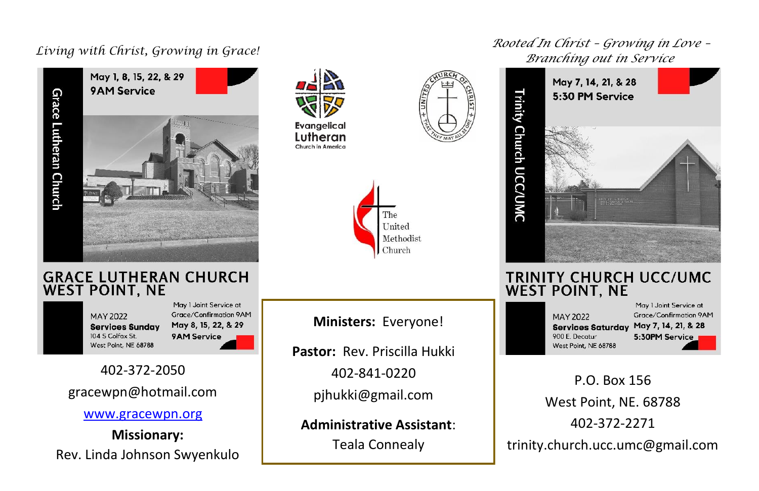

### **GRACE LUTHERAN CHURCH WEST POINT, NE**

**MAY 2022 Services Sunday** 104 S Colfax St. West Point, NE 68788

May I Joint Service at Grace/Confirmation 9AM May 8, 15, 22, & 29 9AM Service

l,

### 402-372-2050

### gracewpn@hotmail.com

#### [www.gracewpn.org](http://www.gracewpn.org/)

**Missionary:** Rev. Linda Johnson Swyenkulo

 **Evangelical** Lutheran Church in America





**Ministers:** Everyone!

**Pastor:** Rev. Priscilla Hukki 402-841-0220 pjhukki@gmail.com

**Administrative Assistant**: Teala Connealy

*Living with Christ, Growing in Grace! Rooted In Christ – Growing in Love – Branching out in Service*



#### **TRINITY CHURCH UCC/UMC WEST POINT, NE**

**MAY 2022 Services Saturday** 900 E. Decatur West Point, NE 68788

May 1 Joint Service at Grace/Confirmation 9AM May 7, 14, 21, & 28 5:30PM Service

P.O. Box 156 West Point, NE. 68788 402-372-2271 trinity.church.ucc.umc@gmail.com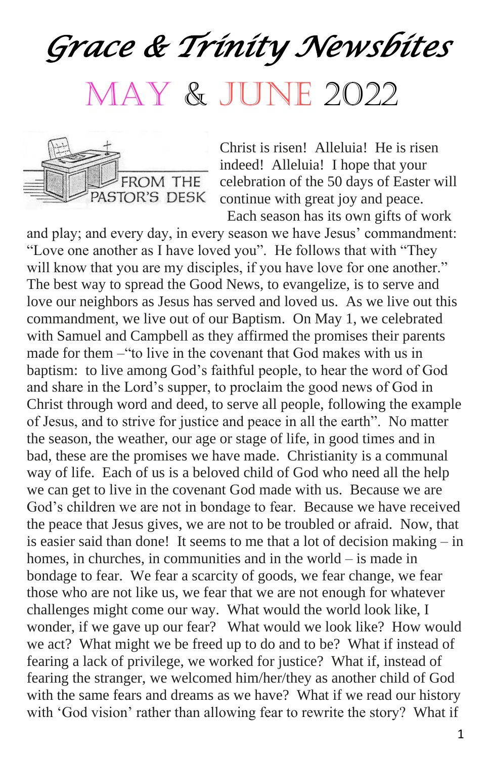# *Grace & Trinity Newsbites*  May & June 2022



Christ is risen! Alleluia! He is risen indeed! Alleluia! I hope that your celebration of the 50 days of Easter will continue with great joy and peace.

 Each season has its own gifts of work and play; and every day, in every season we have Jesus' commandment: "Love one another as I have loved you". He follows that with "They will know that you are my disciples, if you have love for one another." The best way to spread the Good News, to evangelize, is to serve and love our neighbors as Jesus has served and loved us. As we live out this commandment, we live out of our Baptism. On May 1, we celebrated with Samuel and Campbell as they affirmed the promises their parents made for them –"to live in the covenant that God makes with us in baptism: to live among God's faithful people, to hear the word of God and share in the Lord's supper, to proclaim the good news of God in Christ through word and deed, to serve all people, following the example of Jesus, and to strive for justice and peace in all the earth". No matter the season, the weather, our age or stage of life, in good times and in bad, these are the promises we have made. Christianity is a communal way of life. Each of us is a beloved child of God who need all the help we can get to live in the covenant God made with us. Because we are God's children we are not in bondage to fear. Because we have received the peace that Jesus gives, we are not to be troubled or afraid. Now, that is easier said than done! It seems to me that a lot of decision making – in homes, in churches, in communities and in the world – is made in bondage to fear. We fear a scarcity of goods, we fear change, we fear those who are not like us, we fear that we are not enough for whatever challenges might come our way. What would the world look like, I wonder, if we gave up our fear? What would we look like? How would we act? What might we be freed up to do and to be? What if instead of fearing a lack of privilege, we worked for justice? What if, instead of fearing the stranger, we welcomed him/her/they as another child of God with the same fears and dreams as we have? What if we read our history with 'God vision' rather than allowing fear to rewrite the story? What if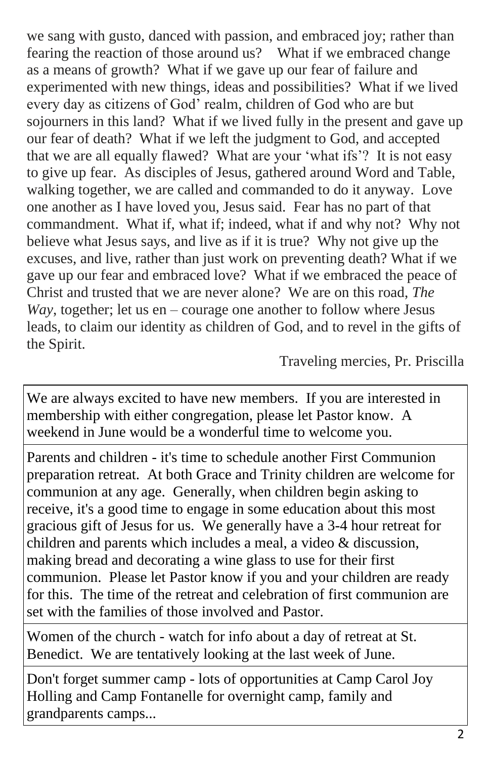we sang with gusto, danced with passion, and embraced joy; rather than fearing the reaction of those around us? What if we embraced change as a means of growth? What if we gave up our fear of failure and experimented with new things, ideas and possibilities? What if we lived every day as citizens of God' realm, children of God who are but sojourners in this land? What if we lived fully in the present and gave up our fear of death? What if we left the judgment to God, and accepted that we are all equally flawed? What are your 'what ifs'? It is not easy to give up fear. As disciples of Jesus, gathered around Word and Table, walking together, we are called and commanded to do it anyway. Love one another as I have loved you, Jesus said. Fear has no part of that commandment. What if, what if; indeed, what if and why not? Why not believe what Jesus says, and live as if it is true? Why not give up the excuses, and live, rather than just work on preventing death? What if we gave up our fear and embraced love? What if we embraced the peace of Christ and trusted that we are never alone? We are on this road, *The Way*, together; let us en – courage one another to follow where Jesus leads, to claim our identity as children of God, and to revel in the gifts of the Spirit.

Traveling mercies, Pr. Priscilla

We are always excited to have new members. If you are interested in membership with either congregation, please let Pastor know. A weekend in June would be a wonderful time to welcome you.

Parents and children - it's time to schedule another First Communion preparation retreat. At both Grace and Trinity children are welcome for communion at any age. Generally, when children begin asking to receive, it's a good time to engage in some education about this most gracious gift of Jesus for us. We generally have a 3-4 hour retreat for children and parents which includes a meal, a video & discussion, making bread and decorating a wine glass to use for their first communion. Please let Pastor know if you and your children are ready for this. The time of the retreat and celebration of first communion are set with the families of those involved and Pastor.

Women of the church - watch for info about a day of retreat at St. Benedict. We are tentatively looking at the last week of June.

Don't forget summer camp - lots of opportunities at Camp Carol Joy Holling and Camp Fontanelle for overnight camp, family and grandparents camps...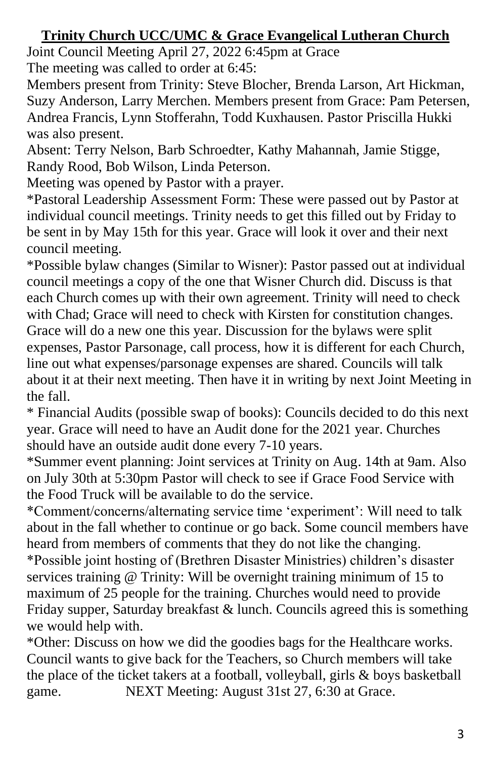### **Trinity Church UCC/UMC & Grace Evangelical Lutheran Church**

Joint Council Meeting April 27, 2022 6:45pm at Grace The meeting was called to order at 6:45:

Members present from Trinity: Steve Blocher, Brenda Larson, Art Hickman, Suzy Anderson, Larry Merchen. Members present from Grace: Pam Petersen, Andrea Francis, Lynn Stofferahn, Todd Kuxhausen. Pastor Priscilla Hukki was also present.

Absent: Terry Nelson, Barb Schroedter, Kathy Mahannah, Jamie Stigge, Randy Rood, Bob Wilson, Linda Peterson.

Meeting was opened by Pastor with a prayer.

\*Pastoral Leadership Assessment Form: These were passed out by Pastor at individual council meetings. Trinity needs to get this filled out by Friday to be sent in by May 15th for this year. Grace will look it over and their next council meeting.

\*Possible bylaw changes (Similar to Wisner): Pastor passed out at individual council meetings a copy of the one that Wisner Church did. Discuss is that each Church comes up with their own agreement. Trinity will need to check with Chad; Grace will need to check with Kirsten for constitution changes. Grace will do a new one this year. Discussion for the bylaws were split expenses, Pastor Parsonage, call process, how it is different for each Church, line out what expenses/parsonage expenses are shared. Councils will talk about it at their next meeting. Then have it in writing by next Joint Meeting in the fall.

\* Financial Audits (possible swap of books): Councils decided to do this next year. Grace will need to have an Audit done for the 2021 year. Churches should have an outside audit done every 7-10 years.

\*Summer event planning: Joint services at Trinity on Aug. 14th at 9am. Also on July 30th at 5:30pm Pastor will check to see if Grace Food Service with the Food Truck will be available to do the service.

\*Comment/concerns/alternating service time 'experiment': Will need to talk about in the fall whether to continue or go back. Some council members have heard from members of comments that they do not like the changing. \*Possible joint hosting of (Brethren Disaster Ministries) children's disaster services training @ Trinity: Will be overnight training minimum of 15 to maximum of 25 people for the training. Churches would need to provide Friday supper, Saturday breakfast  $&$  lunch. Councils agreed this is something we would help with.

\*Other: Discuss on how we did the goodies bags for the Healthcare works. Council wants to give back for the Teachers, so Church members will take the place of the ticket takers at a football, volleyball, girls & boys basketball game. NEXT Meeting: August 31st 27, 6:30 at Grace.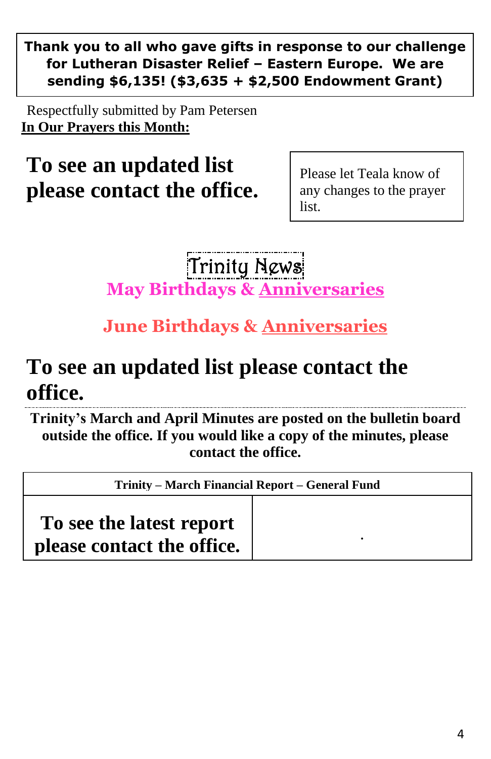**Thank you to all who gave gifts in response to our challenge for Lutheran Disaster Relief – Eastern Europe. We are sending \$6,135! (\$3,635 + \$2,500 Endowment Grant)**

Respectfully submitted by Pam Petersen **In Our Prayers this Month:**

**To see an updated list please contact the office.**

Please let Teala know of any changes to the prayer list.

Trinity News **May Birthdays & Anniversaries**

### **June Birthdays & Anniversaries**

### **To see an updated list please contact the office.**

**Trinity's March and April Minutes are posted on the bulletin board outside the office. If you would like a copy of the minutes, please contact the office.**

| Trinity – March Financial Report – General Fund |  |
|-------------------------------------------------|--|
| To see the latest report                        |  |
| please contact the office.                      |  |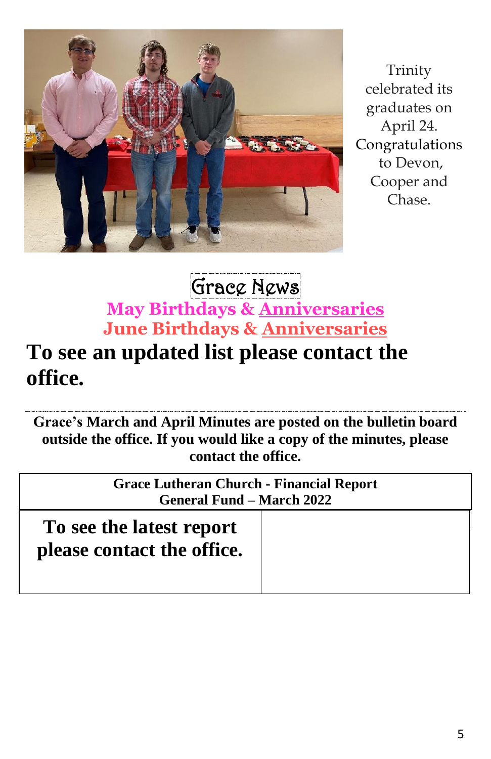

Trinity celebrated its graduates on April 24. Congratulations to Devon, Cooper and Chase.

### Grace News **May Birthdays & Anniversaries June Birthdays & Anniversaries**

## **To see an updated list please contact the office.**

**Grace's March and April Minutes are posted on the bulletin board outside the office. If you would like a copy of the minutes, please contact the office.**

> **Grace Lutheran Church - Financial Report General Fund – March 2022**

| To see the latest report<br>please contact the office. |  |
|--------------------------------------------------------|--|
|                                                        |  |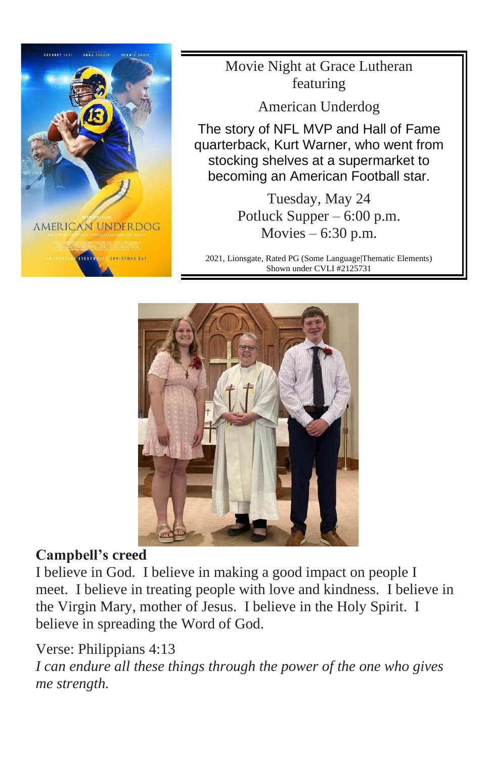

Movie Night at Grace Lutheran featuring

American Underdog

The story of NFL MVP and Hall of Fame quarterback, Kurt Warner, who went from stocking shelves at a supermarket to becoming an American Football star.

> Tuesday, May 24 Potluck Supper – 6:00 p.m. Movies  $-6:30$  p.m.

2021, Lionsgate, Rated PG (Some Language|Thematic Elements) Shown under CVLI #2125731



### **Campbell's creed**

I believe in God. I believe in making a good impact on people I meet. I believe in treating people with love and kindness. I believe in the Virgin Mary, mother of Jesus. I believe in the Holy Spirit. I believe in spreading the Word of God.

### Verse: Philippians 4:13

*I can endure all these things through the power of the one who gives me strength.*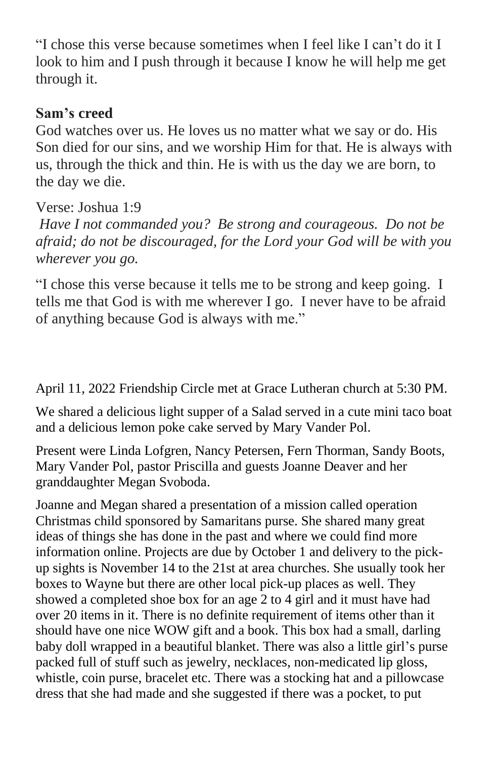"I chose this verse because sometimes when I feel like I can't do it I look to him and I push through it because I know he will help me get through it.

### **Sam's creed**

God watches over us. He loves us no matter what we say or do. His Son died for our sins, and we worship Him for that. He is always with us, through the thick and thin. He is with us the day we are born, to the day we die.

Verse: Joshua 1:9

*Have I not commanded you? Be strong and courageous. Do not be afraid; do not be discouraged, for the Lord your God will be with you wherever you go.*

"I chose this verse because it tells me to be strong and keep going. I tells me that God is with me wherever I go. I never have to be afraid of anything because God is always with me."

April 11, 2022 Friendship Circle met at Grace Lutheran church at 5:30 PM.

We shared a delicious light supper of a Salad served in a cute mini taco boat and a delicious lemon poke cake served by Mary Vander Pol.

Present were Linda Lofgren, Nancy Petersen, Fern Thorman, Sandy Boots, Mary Vander Pol, pastor Priscilla and guests Joanne Deaver and her granddaughter Megan Svoboda.

Joanne and Megan shared a presentation of a mission called operation Christmas child sponsored by Samaritans purse. She shared many great ideas of things she has done in the past and where we could find more information online. Projects are due by October 1 and delivery to the pickup sights is November 14 to the 21st at area churches. She usually took her boxes to Wayne but there are other local pick-up places as well. They showed a completed shoe box for an age 2 to 4 girl and it must have had over 20 items in it. There is no definite requirement of items other than it should have one nice WOW gift and a book. This box had a small, darling baby doll wrapped in a beautiful blanket. There was also a little girl's purse packed full of stuff such as jewelry, necklaces, non-medicated lip gloss, whistle, coin purse, bracelet etc. There was a stocking hat and a pillowcase dress that she had made and she suggested if there was a pocket, to put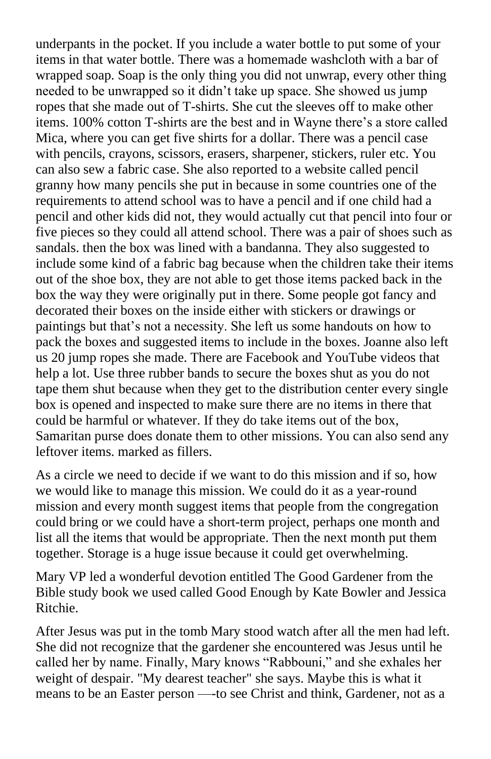underpants in the pocket. If you include a water bottle to put some of your items in that water bottle. There was a homemade washcloth with a bar of wrapped soap. Soap is the only thing you did not unwrap, every other thing needed to be unwrapped so it didn't take up space. She showed us jump ropes that she made out of T-shirts. She cut the sleeves off to make other items. 100% cotton T-shirts are the best and in Wayne there's a store called Mica, where you can get five shirts for a dollar. There was a pencil case with pencils, crayons, scissors, erasers, sharpener, stickers, ruler etc. You can also sew a fabric case. She also reported to a website called pencil granny how many pencils she put in because in some countries one of the requirements to attend school was to have a pencil and if one child had a pencil and other kids did not, they would actually cut that pencil into four or five pieces so they could all attend school. There was a pair of shoes such as sandals. then the box was lined with a bandanna. They also suggested to include some kind of a fabric bag because when the children take their items out of the shoe box, they are not able to get those items packed back in the box the way they were originally put in there. Some people got fancy and decorated their boxes on the inside either with stickers or drawings or paintings but that's not a necessity. She left us some handouts on how to pack the boxes and suggested items to include in the boxes. Joanne also left us 20 jump ropes she made. There are Facebook and YouTube videos that help a lot. Use three rubber bands to secure the boxes shut as you do not tape them shut because when they get to the distribution center every single box is opened and inspected to make sure there are no items in there that could be harmful or whatever. If they do take items out of the box, Samaritan purse does donate them to other missions. You can also send any leftover items. marked as fillers.

As a circle we need to decide if we want to do this mission and if so, how we would like to manage this mission. We could do it as a year-round mission and every month suggest items that people from the congregation could bring or we could have a short-term project, perhaps one month and list all the items that would be appropriate. Then the next month put them together. Storage is a huge issue because it could get overwhelming.

Mary VP led a wonderful devotion entitled The Good Gardener from the Bible study book we used called Good Enough by Kate Bowler and Jessica Ritchie.

After Jesus was put in the tomb Mary stood watch after all the men had left. She did not recognize that the gardener she encountered was Jesus until he called her by name. Finally, Mary knows "Rabbouni," and she exhales her weight of despair. "My dearest teacher" she says. Maybe this is what it means to be an Easter person —-to see Christ and think, Gardener, not as a